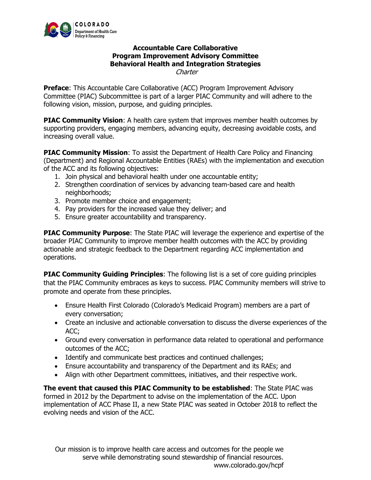

# **Accountable Care Collaborative Program Improvement Advisory Committee Behavioral Health and Integration Strategies**

**Charter** 

**Preface**: This Accountable Care Collaborative (ACC) Program Improvement Advisory Committee (PIAC) Subcommittee is part of a larger PIAC Community and will adhere to the following vision, mission, purpose, and guiding principles.

**PIAC Community Vision**: A health care system that improves member health outcomes by supporting providers, engaging members, advancing equity, decreasing avoidable costs, and increasing overall value.

**PIAC Community Mission**: To assist the Department of Health Care Policy and Financing (Department) and Regional Accountable Entities (RAEs) with the implementation and execution of the ACC and its following objectives:

- 1. Join physical and behavioral health under one accountable entity;
- 2. Strengthen coordination of services by advancing team-based care and health neighborhoods;
- 3. Promote member choice and engagement;
- 4. Pay providers for the increased value they deliver; and
- 5. Ensure greater accountability and transparency.

**PIAC Community Purpose**: The State PIAC will leverage the experience and expertise of the broader PIAC Community to improve member health outcomes with the ACC by providing actionable and strategic feedback to the Department regarding ACC implementation and operations.

**PIAC Community Guiding Principles**: The following list is a set of core guiding principles that the PIAC Community embraces as keys to success. PIAC Community members will strive to promote and operate from these principles.

- Ensure Health First Colorado (Colorado's Medicaid Program) members are a part of every conversation;
- Create an inclusive and actionable conversation to discuss the diverse experiences of the ACC;
- Ground every conversation in performance data related to operational and performance outcomes of the ACC;
- Identify and communicate best practices and continued challenges;
- Ensure accountability and transparency of the Department and its RAEs; and
- Align with other Department committees, initiatives, and their respective work.

**The event that caused this PIAC Community to be established**: The State PIAC was formed in 2012 by the Department to advise on the implementation of the ACC. Upon implementation of ACC Phase II, a new State PIAC was seated in October 2018 to reflect the evolving needs and vision of the ACC.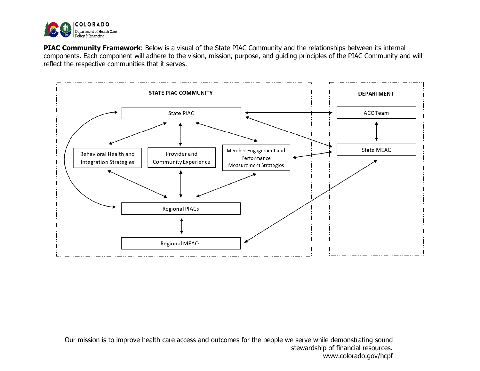

**PIAC Community Framework**: Below is a visual of the State PIAC Community and the relationships between its internal components. Each component will adhere to the vision, mission, purpose, and guiding principles of the PIAC Community and will reflect the respective communities that it serves.

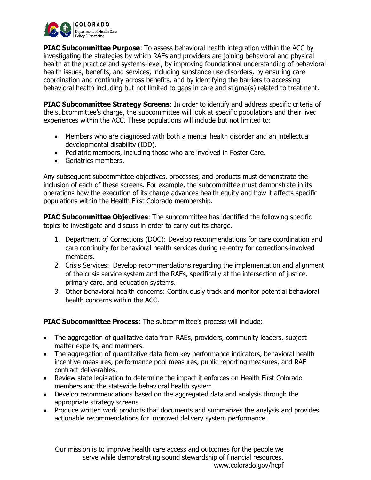

**PIAC Subcommittee Purpose**: To assess behavioral health integration within the ACC by investigating the strategies by which RAEs and providers are joining behavioral and physical health at the practice and systems-level, by improving foundational understanding of behavioral health issues, benefits, and services, including substance use disorders, by ensuring care coordination and continuity across benefits, and by identifying the barriers to accessing behavioral health including but not limited to gaps in care and stigma(s) related to treatment.

**PIAC Subcommittee Strategy Screens**: In order to identify and address specific criteria of the subcommittee's charge, the subcommittee will look at specific populations and their lived experiences within the ACC. These populations will include but not limited to:

- Members who are diagnosed with both a mental health disorder and an intellectual developmental disability (IDD).
- Pediatric members, including those who are involved in Foster Care.
- Geriatrics members.

Any subsequent subcommittee objectives, processes, and products must demonstrate the inclusion of each of these screens. For example, the subcommittee must demonstrate in its operations how the execution of its charge advances health equity and how it affects specific populations within the Health First Colorado membership.

**PIAC Subcommittee Objectives**: The subcommittee has identified the following specific topics to investigate and discuss in order to carry out its charge.

- 1. Department of Corrections (DOC): Develop recommendations for care coordination and care continuity for behavioral health services during re-entry for corrections-involved members.
- 2. Crisis Services: Develop recommendations regarding the implementation and alignment of the crisis service system and the RAEs, specifically at the intersection of justice, primary care, and education systems.
- 3. Other behavioral health concerns: Continuously track and monitor potential behavioral health concerns within the ACC.

**PIAC Subcommittee Process**: The subcommittee's process will include:

- The aggregation of qualitative data from RAEs, providers, community leaders, subject matter experts, and members.
- The aggregation of quantitative data from key performance indicators, behavioral health incentive measures, performance pool measures, public reporting measures, and RAE contract deliverables.
- Review state legislation to determine the impact it enforces on Health First Colorado members and the statewide behavioral health system.
- Develop recommendations based on the aggregated data and analysis through the appropriate strategy screens.
- Produce written work products that documents and summarizes the analysis and provides actionable recommendations for improved delivery system performance.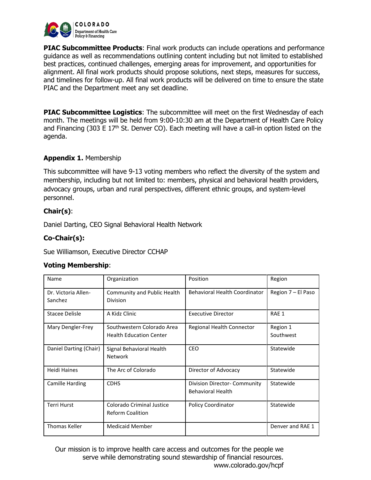

**PIAC Subcommittee Products**: Final work products can include operations and performance guidance as well as recommendations outlining content including but not limited to established best practices, continued challenges, emerging areas for improvement, and opportunities for alignment. All final work products should propose solutions, next steps, measures for success, and timelines for follow-up. All final work products will be delivered on time to ensure the state PIAC and the Department meet any set deadline.

**PIAC Subcommittee Logistics**: The subcommittee will meet on the first Wednesday of each month. The meetings will be held from 9:00-10:30 am at the Department of Health Care Policy and Financing (303 E  $17<sup>th</sup>$  St. Denver CO). Each meeting will have a call-in option listed on the agenda.

### **Appendix 1.** Membership

This subcommittee will have 9-13 voting members who reflect the diversity of the system and membership, including but not limited to: members, physical and behavioral health providers, advocacy groups, urban and rural perspectives, different ethnic groups, and system-level personnel.

### **Chair(s)**:

Daniel Darting, CEO Signal Behavioral Health Network

## **Co-Chair(s):**

Sue Williamson, Executive Director CCHAP

#### **Voting Membership**:

| Name                           | Organization                                                 | Position                                                 | Region                |
|--------------------------------|--------------------------------------------------------------|----------------------------------------------------------|-----------------------|
| Dr. Victoria Allen-<br>Sanchez | Community and Public Health<br>Division                      | <b>Behavioral Health Coordinator</b>                     | Region 7 - El Paso    |
| Stacee Delisle                 | A Kidz Clinic                                                | <b>Executive Director</b>                                | RAE 1                 |
| Mary Dengler-Frey              | Southwestern Colorado Area<br><b>Health Education Center</b> | Regional Health Connector                                | Region 1<br>Southwest |
| Daniel Darting (Chair)         | Signal Behavioral Health<br><b>Network</b>                   | CEO                                                      | Statewide             |
| Heidi Haines                   | The Arc of Colorado                                          | Director of Advocacy                                     | Statewide             |
| Camille Harding                | <b>CDHS</b>                                                  | Division Director- Community<br><b>Behavioral Health</b> | Statewide             |
| <b>Terri Hurst</b>             | Colorado Criminal Justice<br><b>Reform Coalition</b>         | <b>Policy Coordinator</b>                                | Statewide             |
| <b>Thomas Keller</b>           | <b>Medicaid Member</b>                                       |                                                          | Denver and RAE 1      |

Our mission is to improve health care access and outcomes for the people we serve while demonstrating sound stewardship of financial resources. www.colorado.gov/hcpf